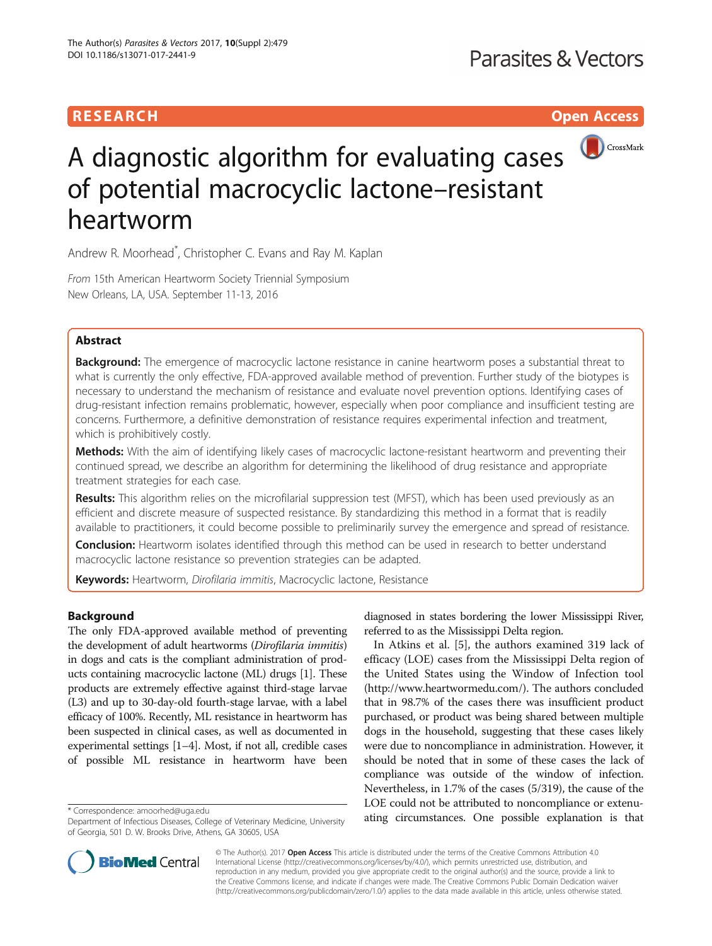# **RESEARCH CHILD CONTROL** CONTROL CONTROL CONTROL CONTROL CONTROL CONTROL CONTROL CONTROL CONTROL CONTROL CONTROL



# A diagnostic algorithm for evaluating cases of potential macrocyclic lactone–resistant heartworm

Andrew R. Moorhead\* , Christopher C. Evans and Ray M. Kaplan

From 15th American Heartworm Society Triennial Symposium New Orleans, LA, USA. September 11-13, 2016

## Abstract

**Background:** The emergence of macrocyclic lactone resistance in canine heartworm poses a substantial threat to what is currently the only effective, FDA-approved available method of prevention. Further study of the biotypes is necessary to understand the mechanism of resistance and evaluate novel prevention options. Identifying cases of drug-resistant infection remains problematic, however, especially when poor compliance and insufficient testing are concerns. Furthermore, a definitive demonstration of resistance requires experimental infection and treatment, which is prohibitively costly.

Methods: With the aim of identifying likely cases of macrocyclic lactone-resistant heartworm and preventing their continued spread, we describe an algorithm for determining the likelihood of drug resistance and appropriate treatment strategies for each case.

Results: This algorithm relies on the microfilarial suppression test (MFST), which has been used previously as an efficient and discrete measure of suspected resistance. By standardizing this method in a format that is readily available to practitioners, it could become possible to preliminarily survey the emergence and spread of resistance.

**Conclusion:** Heartworm isolates identified through this method can be used in research to better understand macrocyclic lactone resistance so prevention strategies can be adapted.

Keywords: Heartworm, Dirofilaria immitis, Macrocyclic lactone, Resistance

## Background

The only FDA-approved available method of preventing the development of adult heartworms (Dirofilaria immitis) in dogs and cats is the compliant administration of products containing macrocyclic lactone (ML) drugs [\[1\]](#page-4-0). These products are extremely effective against third-stage larvae (L3) and up to 30-day-old fourth-stage larvae, with a label efficacy of 100%. Recently, ML resistance in heartworm has been suspected in clinical cases, as well as documented in experimental settings [\[1](#page-4-0)–[4\]](#page-4-0). Most, if not all, credible cases of possible ML resistance in heartworm have been

diagnosed in states bordering the lower Mississippi River, referred to as the Mississippi Delta region.

In Atkins et al. [\[5](#page-4-0)], the authors examined 319 lack of efficacy (LOE) cases from the Mississippi Delta region of the United States using the Window of Infection tool (<http://www.heartwormedu.com/>). The authors concluded that in 98.7% of the cases there was insufficient product purchased, or product was being shared between multiple dogs in the household, suggesting that these cases likely were due to noncompliance in administration. However, it should be noted that in some of these cases the lack of compliance was outside of the window of infection. Nevertheless, in 1.7% of the cases (5/319), the cause of the LOE could not be attributed to noncompliance or extenu\* Correspondence: [amoorhed@uga.edu](mailto:amoorhed@uga.edu)<br>Department of Infectious Diseases College of Veterinary Medicine University atting circumstances. One possible explanation is that



© The Author(s). 2017 **Open Access** This article is distributed under the terms of the Creative Commons Attribution 4.0 International License [\(http://creativecommons.org/licenses/by/4.0/](http://creativecommons.org/licenses/by/4.0/)), which permits unrestricted use, distribution, and reproduction in any medium, provided you give appropriate credit to the original author(s) and the source, provide a link to the Creative Commons license, and indicate if changes were made. The Creative Commons Public Domain Dedication waiver [\(http://creativecommons.org/publicdomain/zero/1.0/](http://creativecommons.org/publicdomain/zero/1.0/)) applies to the data made available in this article, unless otherwise stated.

Department of Infectious Diseases, College of Veterinary Medicine, University of Georgia, 501 D. W. Brooks Drive, Athens, GA 30605, USA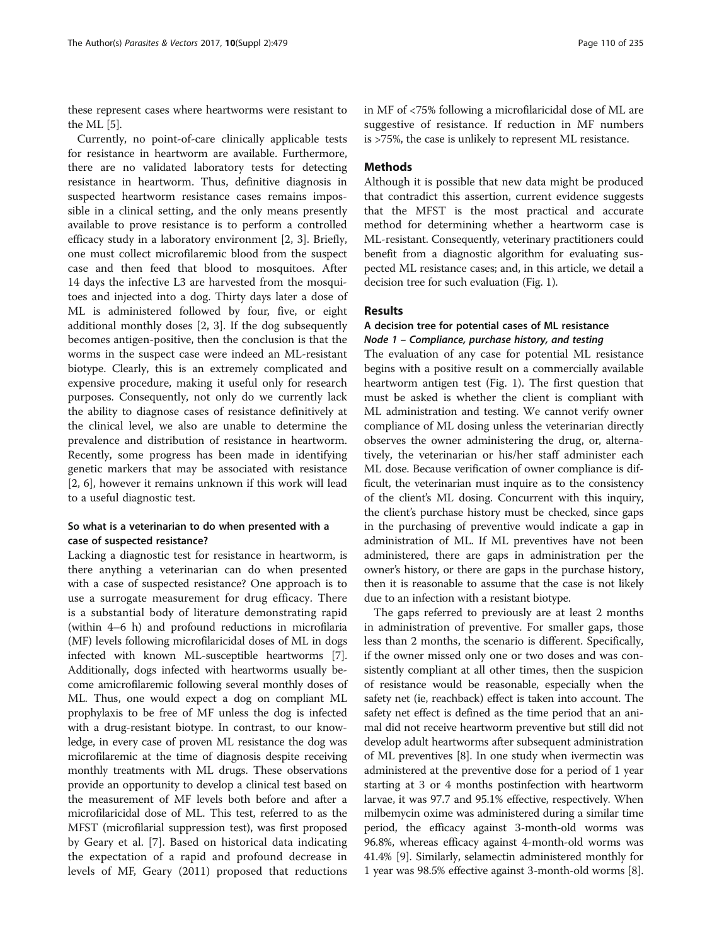these represent cases where heartworms were resistant to the ML [\[5](#page-4-0)].

Currently, no point-of-care clinically applicable tests for resistance in heartworm are available. Furthermore, there are no validated laboratory tests for detecting resistance in heartworm. Thus, definitive diagnosis in suspected heartworm resistance cases remains impossible in a clinical setting, and the only means presently available to prove resistance is to perform a controlled efficacy study in a laboratory environment [\[2](#page-4-0), [3](#page-4-0)]. Briefly, one must collect microfilaremic blood from the suspect case and then feed that blood to mosquitoes. After 14 days the infective L3 are harvested from the mosquitoes and injected into a dog. Thirty days later a dose of ML is administered followed by four, five, or eight additional monthly doses [[2, 3\]](#page-4-0). If the dog subsequently becomes antigen-positive, then the conclusion is that the worms in the suspect case were indeed an ML-resistant biotype. Clearly, this is an extremely complicated and expensive procedure, making it useful only for research purposes. Consequently, not only do we currently lack the ability to diagnose cases of resistance definitively at the clinical level, we also are unable to determine the prevalence and distribution of resistance in heartworm. Recently, some progress has been made in identifying genetic markers that may be associated with resistance [[2, 6\]](#page-4-0), however it remains unknown if this work will lead to a useful diagnostic test.

## So what is a veterinarian to do when presented with a case of suspected resistance?

Lacking a diagnostic test for resistance in heartworm, is there anything a veterinarian can do when presented with a case of suspected resistance? One approach is to use a surrogate measurement for drug efficacy. There is a substantial body of literature demonstrating rapid (within 4–6 h) and profound reductions in microfilaria (MF) levels following microfilaricidal doses of ML in dogs infected with known ML-susceptible heartworms [[7](#page-4-0)]. Additionally, dogs infected with heartworms usually become amicrofilaremic following several monthly doses of ML. Thus, one would expect a dog on compliant ML prophylaxis to be free of MF unless the dog is infected with a drug-resistant biotype. In contrast, to our knowledge, in every case of proven ML resistance the dog was microfilaremic at the time of diagnosis despite receiving monthly treatments with ML drugs. These observations provide an opportunity to develop a clinical test based on the measurement of MF levels both before and after a microfilaricidal dose of ML. This test, referred to as the MFST (microfilarial suppression test), was first proposed by Geary et al. [[7\]](#page-4-0). Based on historical data indicating the expectation of a rapid and profound decrease in levels of MF, Geary (2011) proposed that reductions in MF of <75% following a microfilaricidal dose of ML are suggestive of resistance. If reduction in MF numbers is >75%, the case is unlikely to represent ML resistance.

## **Methods**

Although it is possible that new data might be produced that contradict this assertion, current evidence suggests that the MFST is the most practical and accurate method for determining whether a heartworm case is ML-resistant. Consequently, veterinary practitioners could benefit from a diagnostic algorithm for evaluating suspected ML resistance cases; and, in this article, we detail a decision tree for such evaluation (Fig. [1\)](#page-2-0).

## Results

## A decision tree for potential cases of ML resistance Node 1 – Compliance, purchase history, and testing

The evaluation of any case for potential ML resistance begins with a positive result on a commercially available heartworm antigen test (Fig. [1](#page-2-0)). The first question that must be asked is whether the client is compliant with ML administration and testing. We cannot verify owner compliance of ML dosing unless the veterinarian directly observes the owner administering the drug, or, alternatively, the veterinarian or his/her staff administer each ML dose. Because verification of owner compliance is difficult, the veterinarian must inquire as to the consistency of the client's ML dosing. Concurrent with this inquiry, the client's purchase history must be checked, since gaps in the purchasing of preventive would indicate a gap in administration of ML. If ML preventives have not been administered, there are gaps in administration per the owner's history, or there are gaps in the purchase history, then it is reasonable to assume that the case is not likely due to an infection with a resistant biotype.

The gaps referred to previously are at least 2 months in administration of preventive. For smaller gaps, those less than 2 months, the scenario is different. Specifically, if the owner missed only one or two doses and was consistently compliant at all other times, then the suspicion of resistance would be reasonable, especially when the safety net (ie, reachback) effect is taken into account. The safety net effect is defined as the time period that an animal did not receive heartworm preventive but still did not develop adult heartworms after subsequent administration of ML preventives [\[8](#page-4-0)]. In one study when ivermectin was administered at the preventive dose for a period of 1 year starting at 3 or 4 months postinfection with heartworm larvae, it was 97.7 and 95.1% effective, respectively. When milbemycin oxime was administered during a similar time period, the efficacy against 3-month-old worms was 96.8%, whereas efficacy against 4-month-old worms was 41.4% [[9](#page-4-0)]. Similarly, selamectin administered monthly for 1 year was 98.5% effective against 3-month-old worms [[8](#page-4-0)].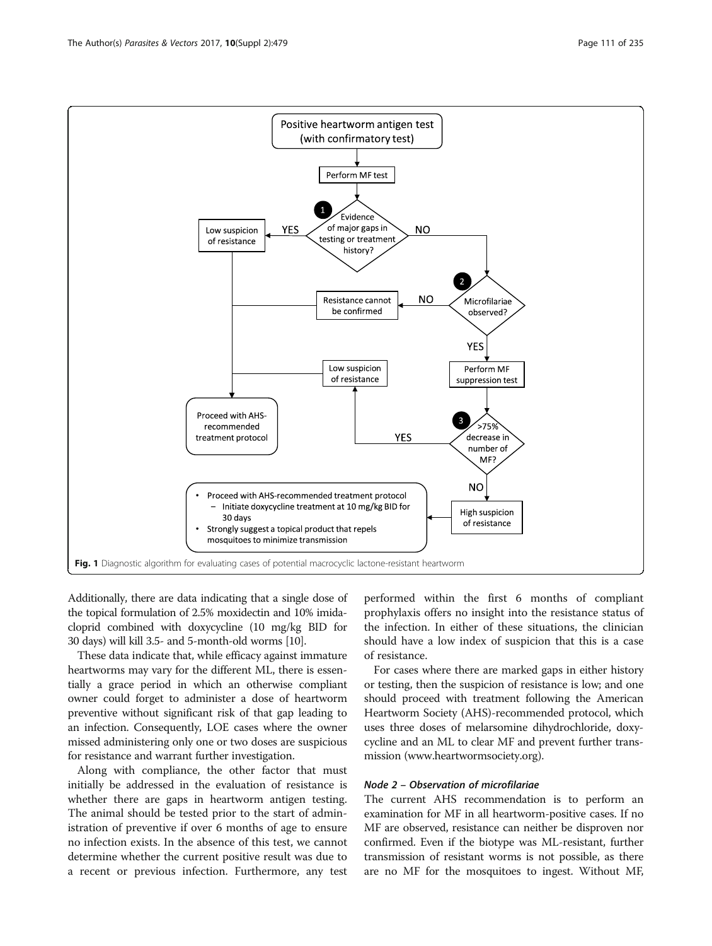<span id="page-2-0"></span>

Additionally, there are data indicating that a single dose of the topical formulation of 2.5% moxidectin and 10% imidacloprid combined with doxycycline (10 mg/kg BID for 30 days) will kill 3.5- and 5-month-old worms [\[10](#page-4-0)].

These data indicate that, while efficacy against immature heartworms may vary for the different ML, there is essentially a grace period in which an otherwise compliant owner could forget to administer a dose of heartworm preventive without significant risk of that gap leading to an infection. Consequently, LOE cases where the owner missed administering only one or two doses are suspicious for resistance and warrant further investigation.

Along with compliance, the other factor that must initially be addressed in the evaluation of resistance is whether there are gaps in heartworm antigen testing. The animal should be tested prior to the start of administration of preventive if over 6 months of age to ensure no infection exists. In the absence of this test, we cannot determine whether the current positive result was due to a recent or previous infection. Furthermore, any test

performed within the first 6 months of compliant prophylaxis offers no insight into the resistance status of the infection. In either of these situations, the clinician should have a low index of suspicion that this is a case of resistance.

For cases where there are marked gaps in either history or testing, then the suspicion of resistance is low; and one should proceed with treatment following the American Heartworm Society (AHS)-recommended protocol, which uses three doses of melarsomine dihydrochloride, doxycycline and an ML to clear MF and prevent further transmission [\(www.heartwormsociety.org](http://www.heartwormsociety.org)).

## Node 2 – Observation of microfilariae

The current AHS recommendation is to perform an examination for MF in all heartworm-positive cases. If no MF are observed, resistance can neither be disproven nor confirmed. Even if the biotype was ML-resistant, further transmission of resistant worms is not possible, as there are no MF for the mosquitoes to ingest. Without MF,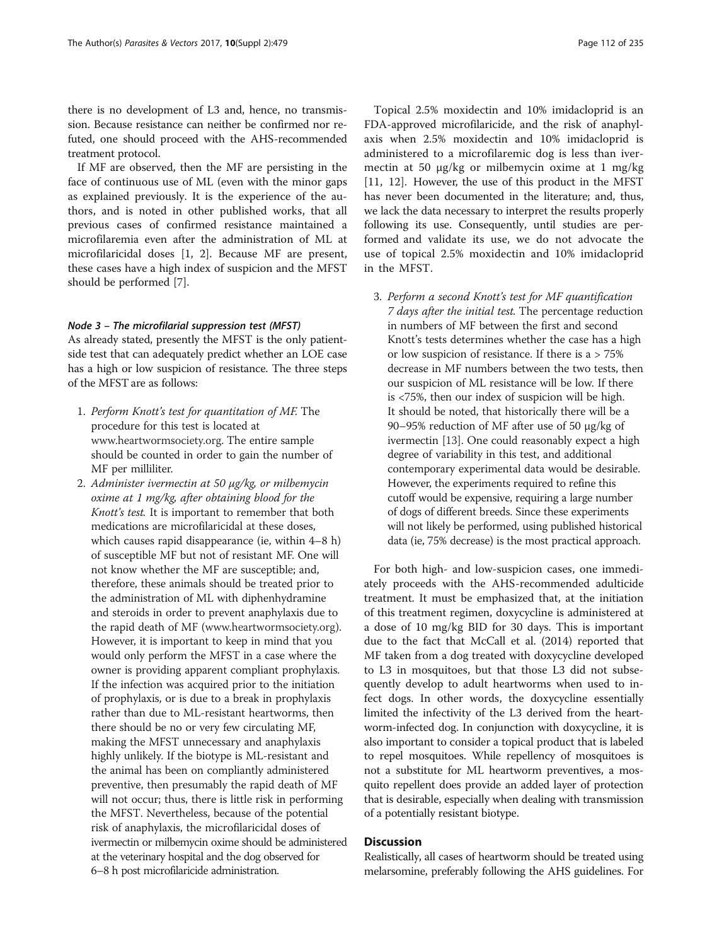there is no development of L3 and, hence, no transmission. Because resistance can neither be confirmed nor refuted, one should proceed with the AHS-recommended treatment protocol.

If MF are observed, then the MF are persisting in the face of continuous use of ML (even with the minor gaps as explained previously. It is the experience of the authors, and is noted in other published works, that all previous cases of confirmed resistance maintained a microfilaremia even after the administration of ML at microfilaricidal doses [[1, 2](#page-4-0)]. Because MF are present, these cases have a high index of suspicion and the MFST should be performed [\[7](#page-4-0)].

## Node 3 – The microfilarial suppression test (MFST)

As already stated, presently the MFST is the only patientside test that can adequately predict whether an LOE case has a high or low suspicion of resistance. The three steps of the MFST are as follows:

- 1. Perform Knott's test for quantitation of MF. The procedure for this test is located at [www.heartwormsociety.org](http://www.heartwormsociety.org). The entire sample should be counted in order to gain the number of MF per milliliter.
- 2. Administer ivermectin at 50 μg/kg, or milbemycin oxime at 1 mg/kg, after obtaining blood for the Knott's test. It is important to remember that both medications are microfilaricidal at these doses, which causes rapid disappearance (ie, within 4–8 h) of susceptible MF but not of resistant MF. One will not know whether the MF are susceptible; and, therefore, these animals should be treated prior to the administration of ML with diphenhydramine and steroids in order to prevent anaphylaxis due to the rapid death of MF ([www.heartwormsociety.org\)](http://www.heartwormsociety.org). However, it is important to keep in mind that you would only perform the MFST in a case where the owner is providing apparent compliant prophylaxis. If the infection was acquired prior to the initiation of prophylaxis, or is due to a break in prophylaxis rather than due to ML-resistant heartworms, then there should be no or very few circulating MF, making the MFST unnecessary and anaphylaxis highly unlikely. If the biotype is ML-resistant and the animal has been on compliantly administered preventive, then presumably the rapid death of MF will not occur; thus, there is little risk in performing the MFST. Nevertheless, because of the potential risk of anaphylaxis, the microfilaricidal doses of ivermectin or milbemycin oxime should be administered at the veterinary hospital and the dog observed for 6–8 h post microfilaricide administration.

Topical 2.5% moxidectin and 10% imidacloprid is an FDA-approved microfilaricide, and the risk of anaphylaxis when 2.5% moxidectin and 10% imidacloprid is administered to a microfilaremic dog is less than ivermectin at 50 μg/kg or milbemycin oxime at 1 mg/kg [[11, 12](#page-4-0)]. However, the use of this product in the MFST has never been documented in the literature; and, thus, we lack the data necessary to interpret the results properly following its use. Consequently, until studies are performed and validate its use, we do not advocate the use of topical 2.5% moxidectin and 10% imidacloprid in the MFST.

3. Perform a second Knott's test for MF quantification 7 days after the initial test. The percentage reduction in numbers of MF between the first and second Knott's tests determines whether the case has a high or low suspicion of resistance. If there is a > 75% decrease in MF numbers between the two tests, then our suspicion of ML resistance will be low. If there is <75%, then our index of suspicion will be high. It should be noted, that historically there will be a 90–95% reduction of MF after use of 50 μg/kg of ivermectin [\[13\]](#page-4-0). One could reasonably expect a high degree of variability in this test, and additional contemporary experimental data would be desirable. However, the experiments required to refine this cutoff would be expensive, requiring a large number of dogs of different breeds. Since these experiments will not likely be performed, using published historical data (ie, 75% decrease) is the most practical approach.

For both high- and low-suspicion cases, one immediately proceeds with the AHS-recommended adulticide treatment. It must be emphasized that, at the initiation of this treatment regimen, doxycycline is administered at a dose of 10 mg/kg BID for 30 days. This is important due to the fact that McCall et al. (2014) reported that MF taken from a dog treated with doxycycline developed to L3 in mosquitoes, but that those L3 did not subsequently develop to adult heartworms when used to infect dogs. In other words, the doxycycline essentially limited the infectivity of the L3 derived from the heartworm-infected dog. In conjunction with doxycycline, it is also important to consider a topical product that is labeled to repel mosquitoes. While repellency of mosquitoes is not a substitute for ML heartworm preventives, a mosquito repellent does provide an added layer of protection that is desirable, especially when dealing with transmission of a potentially resistant biotype.

## **Discussion**

Realistically, all cases of heartworm should be treated using melarsomine, preferably following the AHS guidelines. For